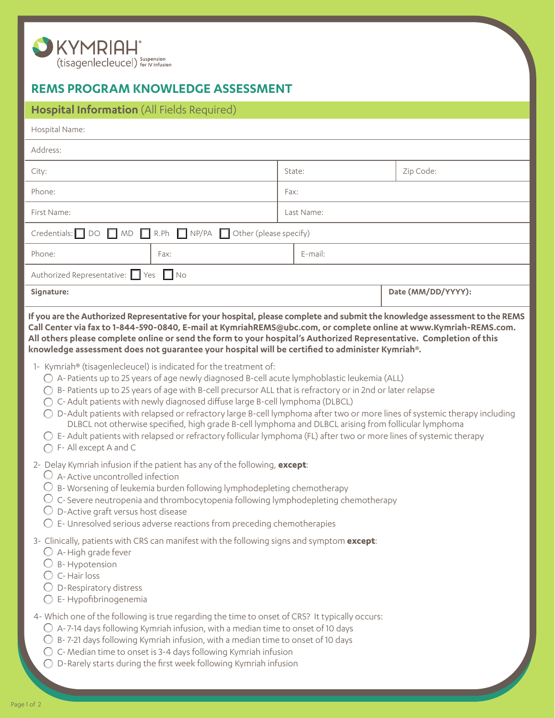

## **REMS PROGRAM KNOWLEDGE ASSESSMENT**

| Hospital Information (All Fields Required)                                                                                                                                                                                                                                                                                                                                                                                                                                                                                                                                                                                                                                                                                                                                                                                                                                                                                                                                                                                                                                                                                                                                                                                                                                                                                                                                                                                                                                                                                                                                                                                                                                                                                                                                             |            |                    |
|----------------------------------------------------------------------------------------------------------------------------------------------------------------------------------------------------------------------------------------------------------------------------------------------------------------------------------------------------------------------------------------------------------------------------------------------------------------------------------------------------------------------------------------------------------------------------------------------------------------------------------------------------------------------------------------------------------------------------------------------------------------------------------------------------------------------------------------------------------------------------------------------------------------------------------------------------------------------------------------------------------------------------------------------------------------------------------------------------------------------------------------------------------------------------------------------------------------------------------------------------------------------------------------------------------------------------------------------------------------------------------------------------------------------------------------------------------------------------------------------------------------------------------------------------------------------------------------------------------------------------------------------------------------------------------------------------------------------------------------------------------------------------------------|------------|--------------------|
| Hospital Name:                                                                                                                                                                                                                                                                                                                                                                                                                                                                                                                                                                                                                                                                                                                                                                                                                                                                                                                                                                                                                                                                                                                                                                                                                                                                                                                                                                                                                                                                                                                                                                                                                                                                                                                                                                         |            |                    |
| Address:                                                                                                                                                                                                                                                                                                                                                                                                                                                                                                                                                                                                                                                                                                                                                                                                                                                                                                                                                                                                                                                                                                                                                                                                                                                                                                                                                                                                                                                                                                                                                                                                                                                                                                                                                                               |            |                    |
| City:                                                                                                                                                                                                                                                                                                                                                                                                                                                                                                                                                                                                                                                                                                                                                                                                                                                                                                                                                                                                                                                                                                                                                                                                                                                                                                                                                                                                                                                                                                                                                                                                                                                                                                                                                                                  | State:     | Zip Code:          |
| Phone:                                                                                                                                                                                                                                                                                                                                                                                                                                                                                                                                                                                                                                                                                                                                                                                                                                                                                                                                                                                                                                                                                                                                                                                                                                                                                                                                                                                                                                                                                                                                                                                                                                                                                                                                                                                 | Fax:       |                    |
| First Name:                                                                                                                                                                                                                                                                                                                                                                                                                                                                                                                                                                                                                                                                                                                                                                                                                                                                                                                                                                                                                                                                                                                                                                                                                                                                                                                                                                                                                                                                                                                                                                                                                                                                                                                                                                            | Last Name: |                    |
| Credentials: $\Box$ DO $\Box$ MD $\Box$ R.Ph $\Box$ NP/PA<br>$\Box$ Other (please specify)                                                                                                                                                                                                                                                                                                                                                                                                                                                                                                                                                                                                                                                                                                                                                                                                                                                                                                                                                                                                                                                                                                                                                                                                                                                                                                                                                                                                                                                                                                                                                                                                                                                                                             |            |                    |
| Phone:<br>Fax:                                                                                                                                                                                                                                                                                                                                                                                                                                                                                                                                                                                                                                                                                                                                                                                                                                                                                                                                                                                                                                                                                                                                                                                                                                                                                                                                                                                                                                                                                                                                                                                                                                                                                                                                                                         | $E$ -mail: |                    |
| Authorized Representative: Ves No                                                                                                                                                                                                                                                                                                                                                                                                                                                                                                                                                                                                                                                                                                                                                                                                                                                                                                                                                                                                                                                                                                                                                                                                                                                                                                                                                                                                                                                                                                                                                                                                                                                                                                                                                      |            |                    |
| Signature:                                                                                                                                                                                                                                                                                                                                                                                                                                                                                                                                                                                                                                                                                                                                                                                                                                                                                                                                                                                                                                                                                                                                                                                                                                                                                                                                                                                                                                                                                                                                                                                                                                                                                                                                                                             |            | Date (MM/DD/YYYY): |
| If you are the Authorized Representative for your hospital, please complete and submit the knowledge assessment to the REMS<br>Call Center via fax to 1-844-590-0840, E-mail at KymriahREMS@ubc.com, or complete online at www.Kymriah-REMS.com.<br>All others please complete online or send the form to your hospital's Authorized Representative. Completion of this<br>knowledge assessment does not guarantee your hospital will be certified to administer Kymriah®.<br>1- Kymriah <sup>®</sup> (tisagenlecleucel) is indicated for the treatment of:<br>$\bigcirc$ A-Patients up to 25 years of age newly diagnosed B-cell acute lymphoblastic leukemia (ALL)<br>○ B- Patients up to 25 years of age with B-cell precursor ALL that is refractory or in 2nd or later relapse<br>○ C- Adult patients with newly diagnosed diffuse large B-cell lymphoma (DLBCL)<br>D-Adult patients with relapsed or refractory large B-cell lymphoma after two or more lines of systemic therapy including<br>DLBCL not otherwise specified, high grade B-cell lymphoma and DLBCL arising from follicular lymphoma<br>$\bigcirc$ E- Adult patients with relapsed or refractory follicular lymphoma (FL) after two or more lines of systemic therapy<br>F- All except A and C<br>2- Delay Kymriah infusion if the patient has any of the following, except:<br>$\bigcirc$ A-Active uncontrolled infection<br>B-Worsening of leukemia burden following lymphodepleting chemotherapy<br>C-Severe neutropenia and thrombocytopenia following lymphodepleting chemotherapy<br>○ D-Active graft versus host disease<br>$\bigcirc$ E- Unresolved serious adverse reactions from preceding chemotherapies<br>3- Clinically, patients with CRS can manifest with the following signs and symptom except: |            |                    |
| $\bigcirc$ A-High grade fever<br><b>B-Hypotension</b><br>C-Hair loss<br>$\bigcirc$ D-Respiratory distress<br>$O$ E-Hypofibrinogenemia<br>4- Which one of the following is true regarding the time to onset of CRS? It typically occurs:<br>$\bigcirc$ A-7-14 days following Kymriah infusion, with a median time to onset of 10 days<br>B-7-21 days following Kymriah infusion, with a median time to onset of 10 days                                                                                                                                                                                                                                                                                                                                                                                                                                                                                                                                                                                                                                                                                                                                                                                                                                                                                                                                                                                                                                                                                                                                                                                                                                                                                                                                                                 |            |                    |
| C-Median time to onset is 3-4 days following Kymriah infusion<br>D-Rarely starts during the first week following Kymriah infusion                                                                                                                                                                                                                                                                                                                                                                                                                                                                                                                                                                                                                                                                                                                                                                                                                                                                                                                                                                                                                                                                                                                                                                                                                                                                                                                                                                                                                                                                                                                                                                                                                                                      |            |                    |

 $\overline{\phantom{0}}$